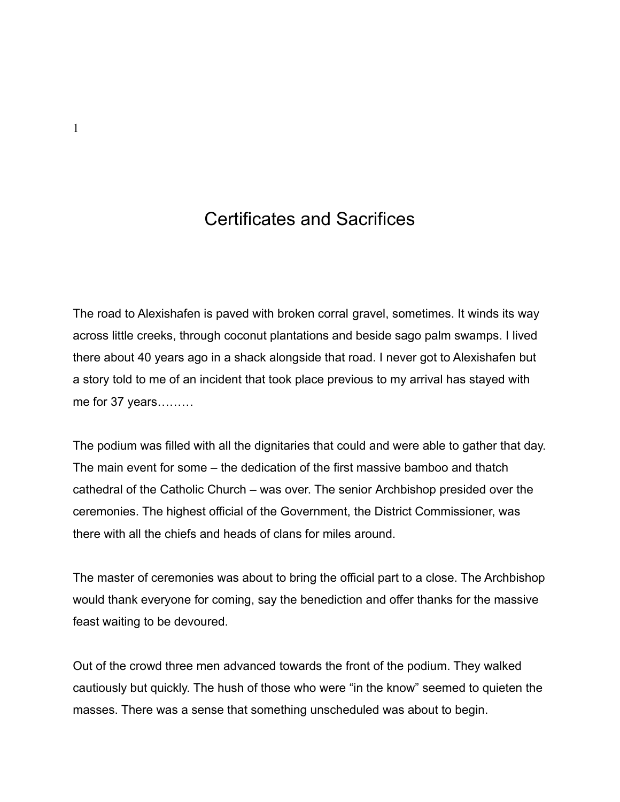## Certificates and Sacrifices

The road to Alexishafen is paved with broken corral gravel, sometimes. It winds its way across little creeks, through coconut plantations and beside sago palm swamps. I lived there about 40 years ago in a shack alongside that road. I never got to Alexishafen but a story told to me of an incident that took place previous to my arrival has stayed with me for 37 years………

The podium was filled with all the dignitaries that could and were able to gather that day. The main event for some – the dedication of the first massive bamboo and thatch cathedral of the Catholic Church – was over. The senior Archbishop presided over the ceremonies. The highest official of the Government, the District Commissioner, was there with all the chiefs and heads of clans for miles around.

The master of ceremonies was about to bring the official part to a close. The Archbishop would thank everyone for coming, say the benediction and offer thanks for the massive feast waiting to be devoured.

Out of the crowd three men advanced towards the front of the podium. They walked cautiously but quickly. The hush of those who were "in the know" seemed to quieten the masses. There was a sense that something unscheduled was about to begin.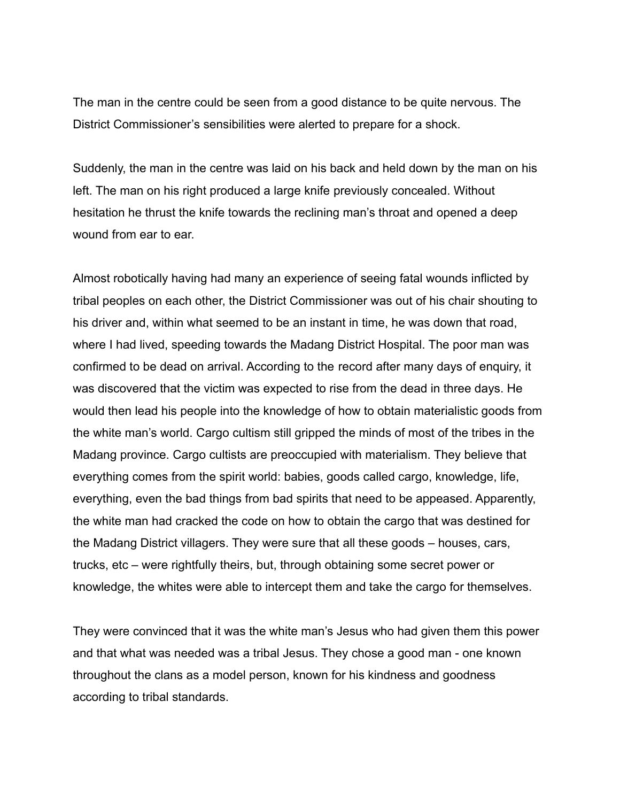The man in the centre could be seen from a good distance to be quite nervous. The District Commissioner's sensibilities were alerted to prepare for a shock.

Suddenly, the man in the centre was laid on his back and held down by the man on his left. The man on his right produced a large knife previously concealed. Without hesitation he thrust the knife towards the reclining man's throat and opened a deep wound from ear to ear.

Almost robotically having had many an experience of seeing fatal wounds inflicted by tribal peoples on each other, the District Commissioner was out of his chair shouting to his driver and, within what seemed to be an instant in time, he was down that road, where I had lived, speeding towards the Madang District Hospital. The poor man was confirmed to be dead on arrival. According to the record after many days of enquiry, it was discovered that the victim was expected to rise from the dead in three days. He would then lead his people into the knowledge of how to obtain materialistic goods from the white man's world. Cargo cultism still gripped the minds of most of the tribes in the Madang province. Cargo cultists are preoccupied with materialism. They believe that everything comes from the spirit world: babies, goods called cargo, knowledge, life, everything, even the bad things from bad spirits that need to be appeased. Apparently, the white man had cracked the code on how to obtain the cargo that was destined for the Madang District villagers. They were sure that all these goods – houses, cars, trucks, etc – were rightfully theirs, but, through obtaining some secret power or knowledge, the whites were able to intercept them and take the cargo for themselves.

They were convinced that it was the white man's Jesus who had given them this power and that what was needed was a tribal Jesus. They chose a good man - one known throughout the clans as a model person, known for his kindness and goodness according to tribal standards.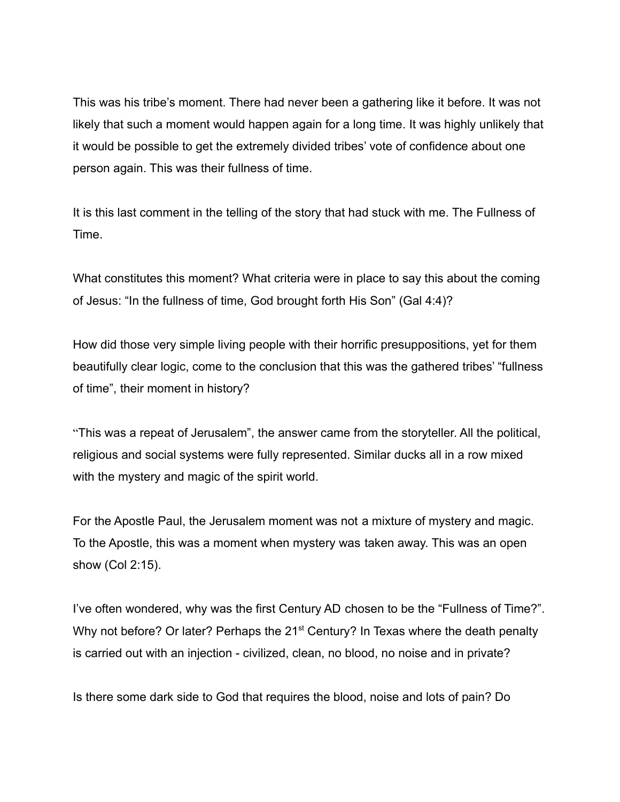This was his tribe's moment. There had never been a gathering like it before. It was not likely that such a moment would happen again for a long time. It was highly unlikely that it would be possible to get the extremely divided tribes' vote of confidence about one person again. This was their fullness of time.

It is this last comment in the telling of the story that had stuck with me. The Fullness of Time.

What constitutes this moment? What criteria were in place to say this about the coming of Jesus: "In the fullness of time, God brought forth His Son" (Gal 4:4)?

How did those very simple living people with their horrific presuppositions, yet for them beautifully clear logic, come to the conclusion that this was the gathered tribes' "fullness of time", their moment in history?

"This was a repeat of Jerusalem", the answer came from the storyteller. All the political, religious and social systems were fully represented. Similar ducks all in a row mixed with the mystery and magic of the spirit world.

For the Apostle Paul, the Jerusalem moment was not a mixture of mystery and magic. To the Apostle, this was a moment when mystery was taken away. This was an open show (Col 2:15).

I've often wondered, why was the first Century AD chosen to be the "Fullness of Time?". Why not before? Or later? Perhaps the 21<sup>st</sup> Century? In Texas where the death penalty is carried out with an injection - civilized, clean, no blood, no noise and in private?

Is there some dark side to God that requires the blood, noise and lots of pain? Do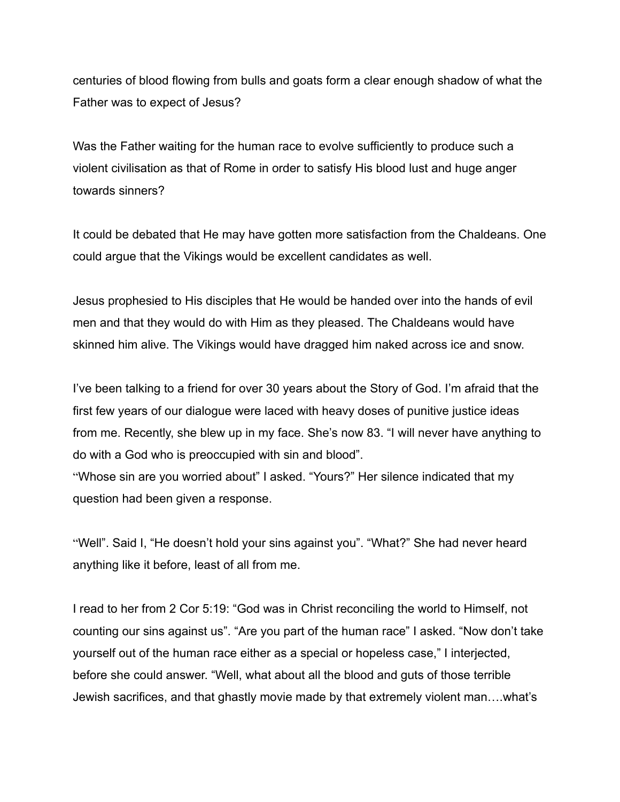centuries of blood flowing from bulls and goats form a clear enough shadow of what the Father was to expect of Jesus?

Was the Father waiting for the human race to evolve sufficiently to produce such a violent civilisation as that of Rome in order to satisfy His blood lust and huge anger towards sinners?

It could be debated that He may have gotten more satisfaction from the Chaldeans. One could argue that the Vikings would be excellent candidates as well.

Jesus prophesied to His disciples that He would be handed over into the hands of evil men and that they would do with Him as they pleased. The Chaldeans would have skinned him alive. The Vikings would have dragged him naked across ice and snow.

I've been talking to a friend for over 30 years about the Story of God. I'm afraid that the first few years of our dialogue were laced with heavy doses of punitive justice ideas from me. Recently, she blew up in my face. She's now 83. "I will never have anything to do with a God who is preoccupied with sin and blood".

"Whose sin are you worried about" I asked. "Yours?" Her silence indicated that my question had been given a response.

"Well". Said I, "He doesn't hold your sins against you". "What?" She had never heard anything like it before, least of all from me.

I read to her from 2 Cor 5:19: "God was in Christ reconciling the world to Himself, not counting our sins against us". "Are you part of the human race" I asked. "Now don't take yourself out of the human race either as a special or hopeless case," I interjected, before she could answer. "Well, what about all the blood and guts of those terrible Jewish sacrifices, and that ghastly movie made by that extremely violent man….what's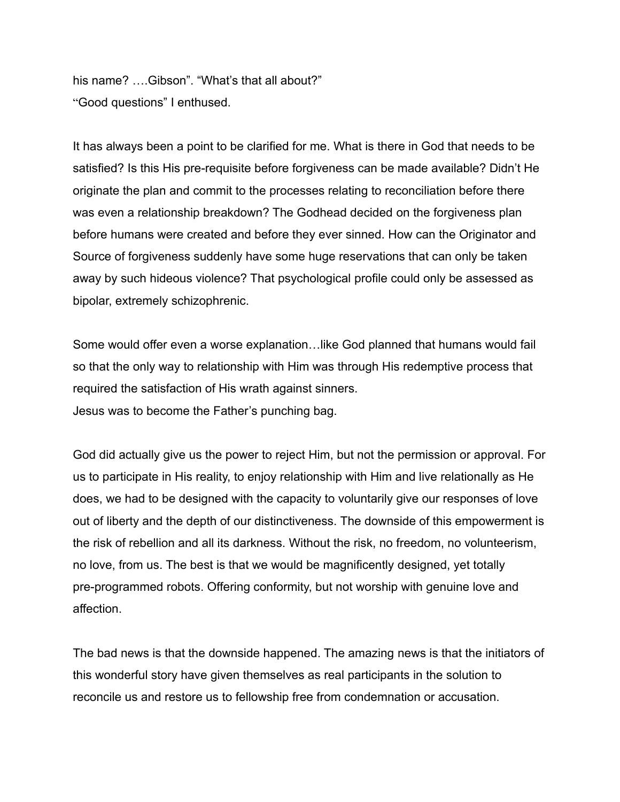his name? ....Gibson". "What's that all about?" "Good questions" I enthused.

It has always been a point to be clarified for me. What is there in God that needs to be satisfied? Is this His pre-requisite before forgiveness can be made available? Didn't He originate the plan and commit to the processes relating to reconciliation before there was even a relationship breakdown? The Godhead decided on the forgiveness plan before humans were created and before they ever sinned. How can the Originator and Source of forgiveness suddenly have some huge reservations that can only be taken away by such hideous violence? That psychological profile could only be assessed as bipolar, extremely schizophrenic.

Some would offer even a worse explanation…like God planned that humans would fail so that the only way to relationship with Him was through His redemptive process that required the satisfaction of His wrath against sinners. Jesus was to become the Father's punching bag.

God did actually give us the power to reject Him, but not the permission or approval. For us to participate in His reality, to enjoy relationship with Him and live relationally as He does, we had to be designed with the capacity to voluntarily give our responses of love out of liberty and the depth of our distinctiveness. The downside of this empowerment is the risk of rebellion and all its darkness. Without the risk, no freedom, no volunteerism, no love, from us. The best is that we would be magnificently designed, yet totally pre-programmed robots. Offering conformity, but not worship with genuine love and affection.

The bad news is that the downside happened. The amazing news is that the initiators of this wonderful story have given themselves as real participants in the solution to reconcile us and restore us to fellowship free from condemnation or accusation.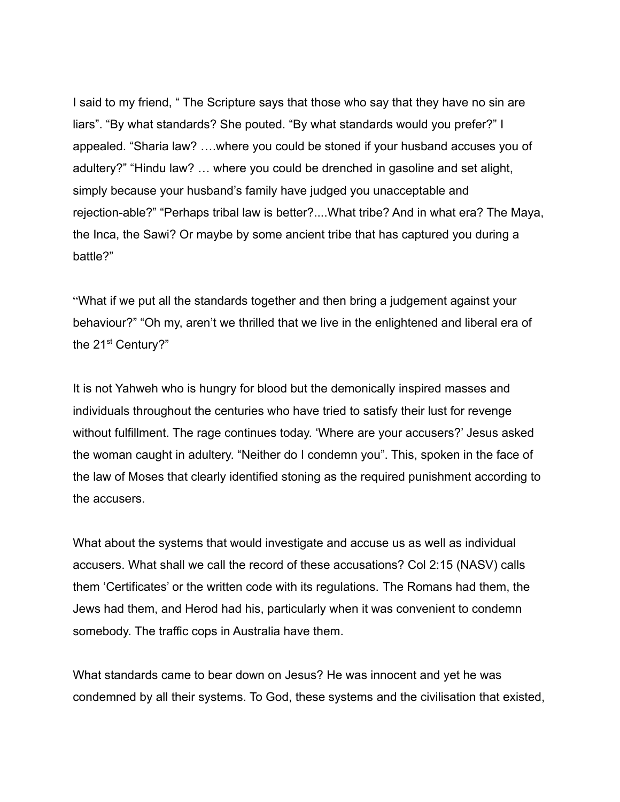I said to my friend, " The Scripture says that those who say that they have no sin are liars". "By what standards? She pouted. "By what standards would you prefer?" I appealed. "Sharia law? ….where you could be stoned if your husband accuses you of adultery?" "Hindu law? … where you could be drenched in gasoline and set alight, simply because your husband's family have judged you unacceptable and rejection-able?" "Perhaps tribal law is better?....What tribe? And in what era? The Maya, the Inca, the Sawi? Or maybe by some ancient tribe that has captured you during a battle?"

"What if we put all the standards together and then bring a judgement against your behaviour?" "Oh my, aren't we thrilled that we live in the enlightened and liberal era of the 21<sup>st</sup> Century?"

It is not Yahweh who is hungry for blood but the demonically inspired masses and individuals throughout the centuries who have tried to satisfy their lust for revenge without fulfillment. The rage continues today. 'Where are your accusers?' Jesus asked the woman caught in adultery. "Neither do I condemn you". This, spoken in the face of the law of Moses that clearly identified stoning as the required punishment according to the accusers.

What about the systems that would investigate and accuse us as well as individual accusers. What shall we call the record of these accusations? Col 2:15 (NASV) calls them 'Certificates' or the written code with its regulations. The Romans had them, the Jews had them, and Herod had his, particularly when it was convenient to condemn somebody. The traffic cops in Australia have them.

What standards came to bear down on Jesus? He was innocent and yet he was condemned by all their systems. To God, these systems and the civilisation that existed,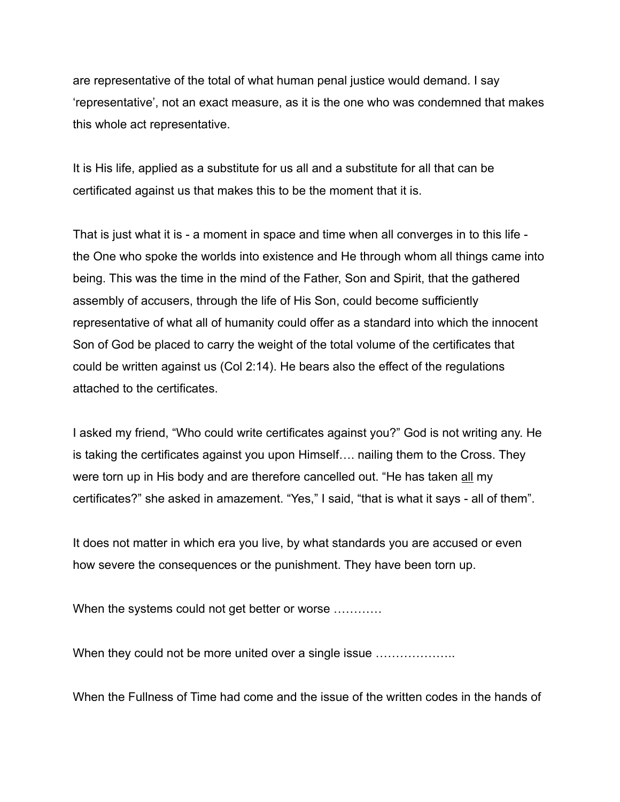are representative of the total of what human penal justice would demand. I say 'representative', not an exact measure, as it is the one who was condemned that makes this whole act representative.

It is His life, applied as a substitute for us all and a substitute for all that can be certificated against us that makes this to be the moment that it is.

That is just what it is - a moment in space and time when all converges in to this life the One who spoke the worlds into existence and He through whom all things came into being. This was the time in the mind of the Father, Son and Spirit, that the gathered assembly of accusers, through the life of His Son, could become sufficiently representative of what all of humanity could offer as a standard into which the innocent Son of God be placed to carry the weight of the total volume of the certificates that could be written against us (Col 2:14). He bears also the effect of the regulations attached to the certificates.

I asked my friend, "Who could write certificates against you?" God is not writing any. He is taking the certificates against you upon Himself…. nailing them to the Cross. They were torn up in His body and are therefore cancelled out. "He has taken all my certificates?" she asked in amazement. "Yes," I said, "that is what it says - all of them".

It does not matter in which era you live, by what standards you are accused or even how severe the consequences or the punishment. They have been torn up.

When the systems could not get better or worse ...........

When they could not be more united over a single issue .........................

When the Fullness of Time had come and the issue of the written codes in the hands of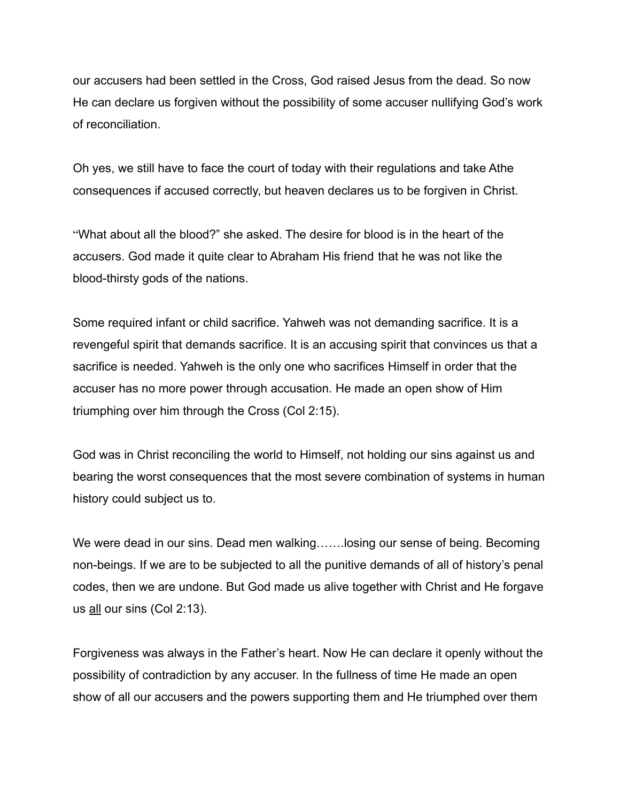our accusers had been settled in the Cross, God raised Jesus from the dead. So now He can declare us forgiven without the possibility of some accuser nullifying God's work of reconciliation.

Oh yes, we still have to face the court of today with their regulations and take Athe consequences if accused correctly, but heaven declares us to be forgiven in Christ.

"What about all the blood?" she asked. The desire for blood is in the heart of the accusers. God made it quite clear to Abraham His friend that he was not like the blood-thirsty gods of the nations.

Some required infant or child sacrifice. Yahweh was not demanding sacrifice. It is a revengeful spirit that demands sacrifice. It is an accusing spirit that convinces us that a sacrifice is needed. Yahweh is the only one who sacrifices Himself in order that the accuser has no more power through accusation. He made an open show of Him triumphing over him through the Cross (Col 2:15).

God was in Christ reconciling the world to Himself, not holding our sins against us and bearing the worst consequences that the most severe combination of systems in human history could subject us to.

We were dead in our sins. Dead men walking.......losing our sense of being. Becoming non-beings. If we are to be subjected to all the punitive demands of all of history's penal codes, then we are undone. But God made us alive together with Christ and He forgave us all our sins (Col 2:13).

Forgiveness was always in the Father's heart. Now He can declare it openly without the possibility of contradiction by any accuser. In the fullness of time He made an open show of all our accusers and the powers supporting them and He triumphed over them